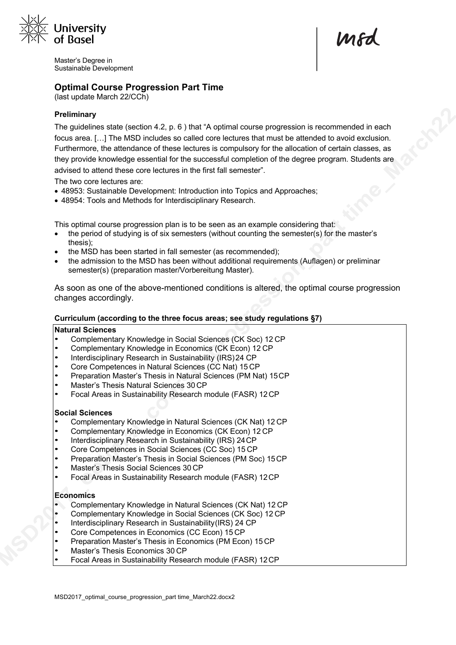

Master's Degree in Sustainable Development

mod

# **Optimal Course Progression Part Time**

(last update March 22/CCh)

### **Preliminary**

The guidelines state (section 4.2, p. 6 ) that "A optimal course progression is recommended in each focus area. […] The MSD includes so called core lectures that must be attended to avoid exclusion. Furthermore, the attendance of these lectures is compulsory for the allocation of certain classes, as they provide knowledge essential for the successful completion of the degree program. Students are advised to attend these core lectures in the first fall semester".

The two core lectures are:

- 48953: Sustainable Development: Introduction into Topics and Approaches;
- 48954: Tools and Methods for Interdisciplinary Research.

This optimal course progression plan is to be seen as an example considering that:

- the period of studying is of six semesters (without counting the semester(s) for the master's thesis);
- the MSD has been started in fall semester (as recommended);
- the admission to the MSD has been without additional requirements (Auflagen) or preliminar semester(s) (preparation master/Vorbereitung Master).

As soon as one of the above-mentioned conditions is altered, the optimal course progression changes accordingly.

#### **Curriculum (according to the three focus areas; see study regulations §7)**

#### **Natural Sciences**

- Complementary Knowledge in Social Sciences (CK Soc) 12 CP
- Complementary Knowledge in Economics (CK Econ) 12 CP
- Interdisciplinary Research in Sustainability (IRS)24 CP
- Core Competences in Natural Sciences (CC Nat) 15 CP
- Preparation Master's Thesis in Natural Sciences (PM Nat) 15CP
- Master's Thesis Natural Sciences 30 CP
- Focal Areas in Sustainability Research module (FASR) 12CP

### **Social Sciences**

- Complementary Knowledge in Natural Sciences (CK Nat) 12 CP
- Complementary Knowledge in Economics (CK Econ) 12 CP
- Interdisciplinary Research in Sustainability (IRS) 24CP
- Core Competences in Social Sciences (CC Soc) 15 CP
- Preparation Master's Thesis in Social Sciences (PM Soc) 15CP
- Master's Thesis Social Sciences 30 CP
- Focal Areas in Sustainability Research module (FASR) 12CP

### **Economics**

- Complementary Knowledge in Natural Sciences (CK Nat) 12 CP
- Complementary Knowledge in Social Sciences (CK Soc) 12 CP
- Interdisciplinary Research in Sustainability(IRS) 24 CP
- Core Competences in Economics (CC Econ) 15 CP
- Preparation Master's Thesis in Economics (PM Econ) 15CP
- Master's Thesis Economics 30 CP
- Focal Areas in Sustainability Research module (FASR) 12CP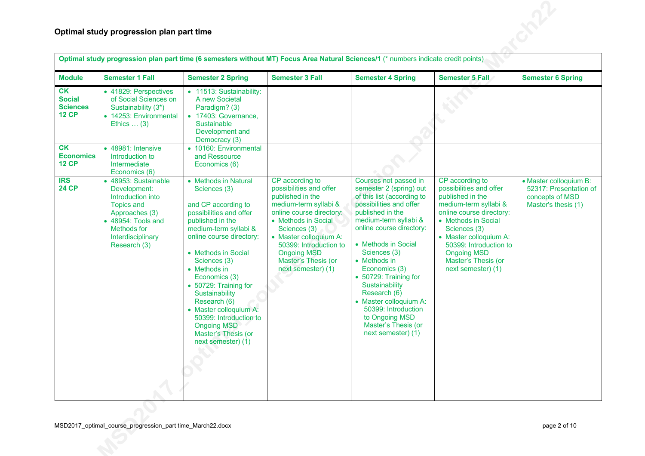| Optimal study progression plan part time (6 semesters without MT) Focus Area Natural Sciences/1 (* numbers indicate credit points) |                                                                                                                                                                            |                                                                                                                                                                                                                                                                                                                                                                                                                           |                                                                                                                                                                                                                                                                                   |                                                                                                                                                                                                                                                                                                                                                                                                                                       |                                                                                                                                                                                                                                                                                   |                                                                                            |  |  |
|------------------------------------------------------------------------------------------------------------------------------------|----------------------------------------------------------------------------------------------------------------------------------------------------------------------------|---------------------------------------------------------------------------------------------------------------------------------------------------------------------------------------------------------------------------------------------------------------------------------------------------------------------------------------------------------------------------------------------------------------------------|-----------------------------------------------------------------------------------------------------------------------------------------------------------------------------------------------------------------------------------------------------------------------------------|---------------------------------------------------------------------------------------------------------------------------------------------------------------------------------------------------------------------------------------------------------------------------------------------------------------------------------------------------------------------------------------------------------------------------------------|-----------------------------------------------------------------------------------------------------------------------------------------------------------------------------------------------------------------------------------------------------------------------------------|--------------------------------------------------------------------------------------------|--|--|
| <b>Module</b>                                                                                                                      | <b>Semester 1 Fall</b>                                                                                                                                                     | <b>Semester 2 Spring</b>                                                                                                                                                                                                                                                                                                                                                                                                  | <b>Semester 3 Fall</b>                                                                                                                                                                                                                                                            | <b>Semester 4 Spring</b>                                                                                                                                                                                                                                                                                                                                                                                                              | Semester 5 Fall                                                                                                                                                                                                                                                                   | <b>Semester 6 Spring</b>                                                                   |  |  |
| CK<br><b>Social</b><br><b>Sciences</b><br><b>12 CP</b>                                                                             | • 41829: Perspectives<br>of Social Sciences on<br>Sustainability (3*)<br>• 14253: Environmental<br>Ethics $\dots$ (3)                                                      | • 11513: Sustainability:<br>A new Societal<br>Paradigm? (3)<br>• 17403: Governance,<br>Sustainable<br>Development and<br>Democracy (3)                                                                                                                                                                                                                                                                                    |                                                                                                                                                                                                                                                                                   |                                                                                                                                                                                                                                                                                                                                                                                                                                       |                                                                                                                                                                                                                                                                                   |                                                                                            |  |  |
| CK<br><b>Economics</b><br><b>12 CP</b>                                                                                             | • 48981: Intensive<br>Introduction to<br>Intermediate<br>Economics (6)                                                                                                     | • 10160: Environmental<br>and Ressource<br>Economics (6)                                                                                                                                                                                                                                                                                                                                                                  |                                                                                                                                                                                                                                                                                   |                                                                                                                                                                                                                                                                                                                                                                                                                                       |                                                                                                                                                                                                                                                                                   |                                                                                            |  |  |
| <b>IRS</b><br><b>24 CP</b>                                                                                                         | • 48953: Sustainable<br>Development:<br>Introduction into<br><b>Topics and</b><br>Approaches (3)<br>• 48954: Tools and<br>Methods for<br>Interdisciplinary<br>Research (3) | • Methods in Natural<br>Sciences (3)<br>and CP according to<br>possibilities and offer<br>published in the<br>medium-term syllabi &<br>online course directory:<br>• Methods in Social<br>Sciences (3)<br>• Methods in<br>Economics (3)<br>• 50729: Training for<br>Sustainability<br>Research (6)<br>• Master colloquium A:<br>50399: Introduction to<br><b>Ongoing MSD</b><br>Master's Thesis (or<br>next semester) (1) | CP according to<br>possibilities and offer<br>published in the<br>medium-term syllabi &<br>online course directory:<br>• Methods in Social<br>Sciences (3)<br>• Master colloquium A:<br>50399: Introduction to<br><b>Ongoing MSD</b><br>Master's Thesis (or<br>next semester) (1) | Courses not passed in<br>semester 2 (spring) out<br>of this list (according to<br>possibilities and offer<br>published in the<br>medium-term syllabi &<br>online course directory:<br>• Methods in Social<br>Sciences (3)<br>• Methods in<br>Economics (3)<br>• 50729: Training for<br>Sustainability<br>Research (6)<br>• Master colloquium A:<br>50399: Introduction<br>to Ongoing MSD<br>Master's Thesis (or<br>next semester) (1) | CP according to<br>possibilities and offer<br>published in the<br>medium-term syllabi &<br>online course directory:<br>• Methods in Social<br>Sciences (3)<br>• Master colloquium A:<br>50399: Introduction to<br><b>Ongoing MSD</b><br>Master's Thesis (or<br>next semester) (1) | • Master colloquium B:<br>52317: Presentation of<br>concepts of MSD<br>Master's thesis (1) |  |  |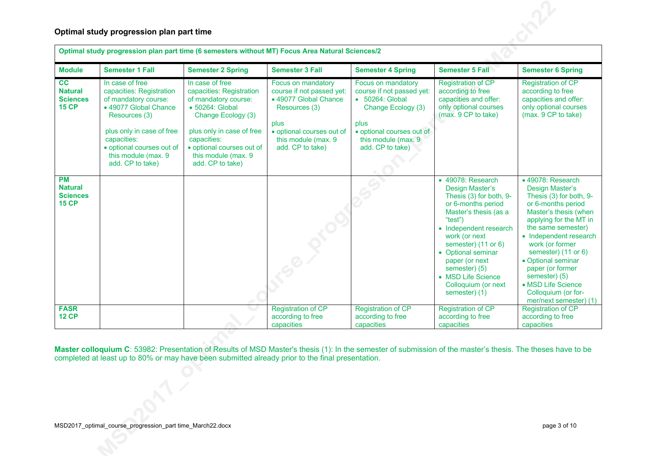|                                                                | Optimal study progression plan part time (6 semesters without MT) Focus Area Natural Sciences/2                                                                                                                                   |                                                                                                                                                                                                                                  |                                                                                                                                                                            |                                                                                                                                                                           |                                                                                                                                                                                                                                                                                                                    |                                                                                                                                                                                                                                                                                                                                                                      |  |  |  |  |
|----------------------------------------------------------------|-----------------------------------------------------------------------------------------------------------------------------------------------------------------------------------------------------------------------------------|----------------------------------------------------------------------------------------------------------------------------------------------------------------------------------------------------------------------------------|----------------------------------------------------------------------------------------------------------------------------------------------------------------------------|---------------------------------------------------------------------------------------------------------------------------------------------------------------------------|--------------------------------------------------------------------------------------------------------------------------------------------------------------------------------------------------------------------------------------------------------------------------------------------------------------------|----------------------------------------------------------------------------------------------------------------------------------------------------------------------------------------------------------------------------------------------------------------------------------------------------------------------------------------------------------------------|--|--|--|--|
| <b>Module</b>                                                  | <b>Semester 1 Fall</b>                                                                                                                                                                                                            | <b>Semester 2 Spring</b>                                                                                                                                                                                                         | <b>Semester 3 Fall</b>                                                                                                                                                     | <b>Semester 4 Spring</b>                                                                                                                                                  | <b>Semester 5 Fall</b>                                                                                                                                                                                                                                                                                             | <b>Semester 6 Spring</b>                                                                                                                                                                                                                                                                                                                                             |  |  |  |  |
| cc<br><b>Natural</b><br><b>Sciences</b><br><b>15 CP</b>        | In case of free<br>capacities: Registration<br>of mandatory course:<br>• 49077 Global Chance<br>Resources (3)<br>plus only in case of free<br>capacities:<br>· optional courses out of<br>this module (max. 9<br>add. CP to take) | In case of free<br>capacities: Registration<br>of mandatory course:<br>• 50264: Global<br>Change Ecology (3)<br>plus only in case of free<br>capacities:<br>· optional courses out of<br>this module (max. 9<br>add. CP to take) | Focus on mandatory<br>course if not passed yet:<br>• 49077 Global Chance<br>Resources (3)<br>plus<br>· optional courses out of<br>this module (max. 9)<br>add. CP to take) | Focus on mandatory<br>course if not passed yet:<br>• 50264: Global<br>Change Ecology (3)<br>plus<br>· optional courses out of<br>this module (max. 9)<br>add. CP to take) | <b>Registration of CP</b><br>according to free<br>capacities and offer:<br>only optional courses<br>(max. 9 CP to take)                                                                                                                                                                                            | <b>Registration of CP</b><br>according to free<br>capacities and offer:<br>only optional courses<br>(max. 9 CP to take)                                                                                                                                                                                                                                              |  |  |  |  |
| <b>PM</b><br><b>Natural</b><br><b>Sciences</b><br><b>15 CP</b> |                                                                                                                                                                                                                                   |                                                                                                                                                                                                                                  |                                                                                                                                                                            |                                                                                                                                                                           | • 49078: Research<br>Design Master's<br>Thesis (3) for both, 9-<br>or 6-months period<br>Master's thesis (as a<br>"test")<br>• Independent research<br>work (or next<br>semester) (11 or 6)<br>• Optional seminar<br>paper (or next<br>semester) (5)<br>• MSD Life Science<br>Colloquium (or next<br>semester) (1) | • 49078: Research<br>Design Master's<br>Thesis (3) for both, 9-<br>or 6-months period<br>Master's thesis (when<br>applying for the MT in<br>the same semester)<br>• Independent research<br>work (or former<br>semester) (11 or 6)<br>• Optional seminar<br>paper (or former<br>semester) (5)<br>• MSD Life Science<br>Colloquium (or for-<br>mer/next semester) (1) |  |  |  |  |
| <b>FASR</b><br><b>12 CP</b>                                    |                                                                                                                                                                                                                                   |                                                                                                                                                                                                                                  | <b>Registration of CP</b><br>according to free<br>capacities                                                                                                               | <b>Registration of CP</b><br>according to free<br>capacities                                                                                                              | <b>Registration of CP</b><br>according to free<br>capacities                                                                                                                                                                                                                                                       | <b>Registration of CP</b><br>according to free<br>capacities                                                                                                                                                                                                                                                                                                         |  |  |  |  |

**Master colloquium C**: 53982: Presentation of Results of MSD Master's thesis (1): In the semester of submission of the master's thesis. The theses have to be completed at least up to 80% or may have been submitted already prior to the final presentation.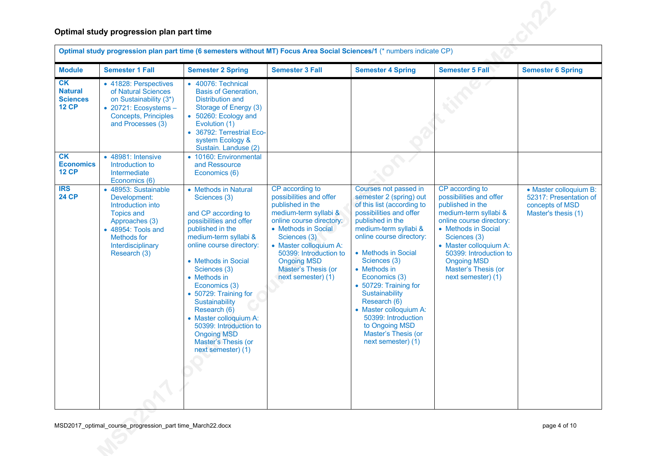|                                                         | Optimal study progression plan part time                                                                                                                                          |                                                                                                                                                                                                                                                                                                                                                                                                                           |                                                                                                                                                                                                                                                                                   |                                                                                                                                                                                                                                                                                                                                                                                                                                       |                                                                                                                                                                                                                                                                                   |                                                                                            |  |  |  |  |
|---------------------------------------------------------|-----------------------------------------------------------------------------------------------------------------------------------------------------------------------------------|---------------------------------------------------------------------------------------------------------------------------------------------------------------------------------------------------------------------------------------------------------------------------------------------------------------------------------------------------------------------------------------------------------------------------|-----------------------------------------------------------------------------------------------------------------------------------------------------------------------------------------------------------------------------------------------------------------------------------|---------------------------------------------------------------------------------------------------------------------------------------------------------------------------------------------------------------------------------------------------------------------------------------------------------------------------------------------------------------------------------------------------------------------------------------|-----------------------------------------------------------------------------------------------------------------------------------------------------------------------------------------------------------------------------------------------------------------------------------|--------------------------------------------------------------------------------------------|--|--|--|--|
|                                                         | Optimal study progression plan part time (6 semesters without MT) Focus Area Social Sciences/1 (* numbers indicate CP)                                                            |                                                                                                                                                                                                                                                                                                                                                                                                                           |                                                                                                                                                                                                                                                                                   |                                                                                                                                                                                                                                                                                                                                                                                                                                       |                                                                                                                                                                                                                                                                                   |                                                                                            |  |  |  |  |
| <b>Module</b>                                           | <b>Semester 1 Fall</b>                                                                                                                                                            | <b>Semester 2 Spring</b>                                                                                                                                                                                                                                                                                                                                                                                                  | <b>Semester 3 Fall</b>                                                                                                                                                                                                                                                            | <b>Semester 4 Spring</b>                                                                                                                                                                                                                                                                                                                                                                                                              | <b>Semester 5 Fall</b>                                                                                                                                                                                                                                                            | <b>Semester 6 Spring</b>                                                                   |  |  |  |  |
| CK<br><b>Natural</b><br><b>Sciences</b><br><b>12 CP</b> | • 41828: Perspectives<br>of Natural Sciences<br>on Sustainability (3*)<br>$\bullet$ 20721: Ecosystems -<br><b>Concepts, Principles</b><br>and Processes (3)                       | • 40076: Technical<br><b>Basis of Generation,</b><br><b>Distribution and</b><br>Storage of Energy (3)<br>• 50260: Ecology and<br>Evolution (1)<br>• 36792: Terrestrial Eco-<br>system Ecology &<br>Sustain. Landuse (2)                                                                                                                                                                                                   |                                                                                                                                                                                                                                                                                   |                                                                                                                                                                                                                                                                                                                                                                                                                                       |                                                                                                                                                                                                                                                                                   |                                                                                            |  |  |  |  |
| CK<br><b>Economics</b><br><b>12 CP</b>                  | • 48981: Intensive<br>Introduction to<br>Intermediate<br>Economics (6)                                                                                                            | • 10160: Environmental<br>and Ressource<br>Economics (6)                                                                                                                                                                                                                                                                                                                                                                  |                                                                                                                                                                                                                                                                                   |                                                                                                                                                                                                                                                                                                                                                                                                                                       |                                                                                                                                                                                                                                                                                   |                                                                                            |  |  |  |  |
| <b>IRS</b><br><b>24 CP</b>                              | • 48953: Sustainable<br>Development:<br>Introduction into<br><b>Topics and</b><br>Approaches (3)<br>• 48954: Tools and<br><b>Methods for</b><br>Interdisciplinary<br>Research (3) | • Methods in Natural<br>Sciences (3)<br>and CP according to<br>possibilities and offer<br>published in the<br>medium-term syllabi &<br>online course directory:<br>• Methods in Social<br>Sciences (3)<br>• Methods in<br>Economics (3)<br>• 50729: Training for<br>Sustainability<br>Research (6)<br>• Master colloquium A:<br>50399: Introduction to<br><b>Ongoing MSD</b><br>Master's Thesis (or<br>next semester) (1) | CP according to<br>possibilities and offer<br>published in the<br>medium-term syllabi &<br>online course directory:<br>• Methods in Social<br>Sciences (3)<br>• Master colloquium A:<br>50399: Introduction to<br><b>Ongoing MSD</b><br>Master's Thesis (or<br>next semester) (1) | Courses not passed in<br>semester 2 (spring) out<br>of this list (according to<br>possibilities and offer<br>published in the<br>medium-term syllabi &<br>online course directory:<br>• Methods in Social<br>Sciences (3)<br>• Methods in<br>Economics (3)<br>• 50729: Training for<br>Sustainability<br>Research (6)<br>• Master colloquium A:<br>50399: Introduction<br>to Ongoing MSD<br>Master's Thesis (or<br>next semester) (1) | CP according to<br>possibilities and offer<br>published in the<br>medium-term syllabi &<br>online course directory:<br>• Methods in Social<br>Sciences (3)<br>• Master colloquium A:<br>50399: Introduction to<br><b>Ongoing MSD</b><br>Master's Thesis (or<br>next semester) (1) | • Master colloquium B:<br>52317: Presentation of<br>concepts of MSD<br>Master's thesis (1) |  |  |  |  |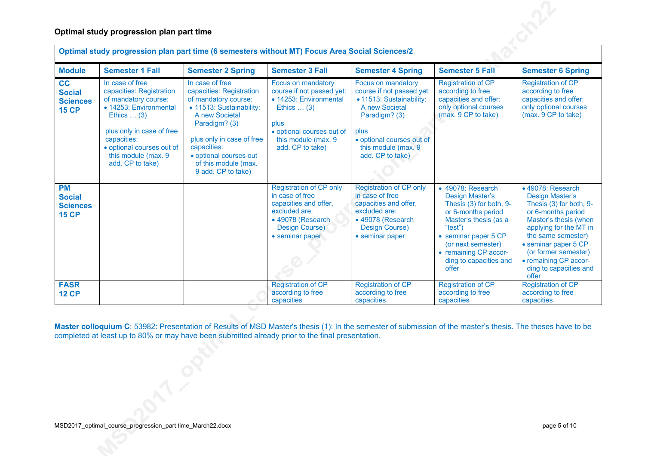|                                                               | Optimal study progression plan part time (6 semesters without MT) Focus Area Social Sciences/2                                                                                                                                          |                                                                                                                                                                                                                                                        |                                                                                                                                                                                  |                                                                                                                                                                                                 |                                                                                                                                                                                                                                     |                                                                                                                                                                                                                                                                                   |  |  |  |
|---------------------------------------------------------------|-----------------------------------------------------------------------------------------------------------------------------------------------------------------------------------------------------------------------------------------|--------------------------------------------------------------------------------------------------------------------------------------------------------------------------------------------------------------------------------------------------------|----------------------------------------------------------------------------------------------------------------------------------------------------------------------------------|-------------------------------------------------------------------------------------------------------------------------------------------------------------------------------------------------|-------------------------------------------------------------------------------------------------------------------------------------------------------------------------------------------------------------------------------------|-----------------------------------------------------------------------------------------------------------------------------------------------------------------------------------------------------------------------------------------------------------------------------------|--|--|--|
| <b>Module</b>                                                 | <b>Semester 1 Fall</b>                                                                                                                                                                                                                  | <b>Semester 2 Spring</b>                                                                                                                                                                                                                               | <b>Semester 3 Fall</b><br><b>Semester 4 Spring</b><br><b>Semester 5 Fall</b>                                                                                                     |                                                                                                                                                                                                 | <b>Semester 6 Spring</b>                                                                                                                                                                                                            |                                                                                                                                                                                                                                                                                   |  |  |  |
| cc<br><b>Social</b><br><b>Sciences</b><br><b>15 CP</b>        | In case of free<br>capacities: Registration<br>of mandatory course:<br>• 14253: Environmental<br>Ethics $\dots$ (3)<br>plus only in case of free<br>capacities:<br>· optional courses out of<br>this module (max. 9<br>add. CP to take) | In case of free<br>capacities: Registration<br>of mandatory course:<br>• 11513: Sustainability:<br>A new Societal<br>Paradigm? (3)<br>plus only in case of free<br>capacities:<br>· optional courses out<br>of this module (max.<br>9 add. CP to take) | Focus on mandatory<br>course if not passed yet:<br>• 14253: Environmental<br>Ethics $\dots$ (3)<br>plus<br>• optional courses out of<br>this module (max. 9)<br>add. CP to take) | Focus on mandatory<br>course if not passed yet:<br>· 11513: Sustainability:<br>A new Societal<br>Paradigm? (3)<br>plus<br>· optional courses out of<br>this module (max. 9)<br>add. CP to take) | <b>Registration of CP</b><br>according to free<br>capacities and offer:<br>only optional courses<br>(max. 9 CP to take)                                                                                                             | <b>Registration of CP</b><br>according to free<br>capacities and offer:<br>only optional courses<br>(max. 9 CP to take)                                                                                                                                                           |  |  |  |
| <b>PM</b><br><b>Social</b><br><b>Sciences</b><br><b>15 CP</b> |                                                                                                                                                                                                                                         |                                                                                                                                                                                                                                                        | <b>Registration of CP only</b><br>in case of free<br>capacities and offer,<br>excluded are:<br>• 49078 (Research<br>Design Course)<br>• seminar paper                            | <b>Registration of CP only</b><br>in case of free<br>capacities and offer,<br>excluded are:<br>• 49078 (Research<br>Design Course)<br>• seminar paper                                           | • 49078: Research<br>Design Master's<br>Thesis (3) for both, 9-<br>or 6-months period<br>Master's thesis (as a<br>"test")<br>• seminar paper 5 CP<br>(or next semester)<br>• remaining CP accor-<br>ding to capacities and<br>offer | • 49078: Research<br><b>Design Master's</b><br>Thesis (3) for both, 9-<br>or 6-months period<br>Master's thesis (when<br>applying for the MT in<br>the same semester)<br>• seminar paper 5 CP<br>(or former semester)<br>• remaining CP accor-<br>ding to capacities and<br>offer |  |  |  |
| <b>FASR</b><br><b>12 CP</b>                                   |                                                                                                                                                                                                                                         |                                                                                                                                                                                                                                                        | <b>Registration of CP</b><br>according to free<br>capacities                                                                                                                     | <b>Registration of CP</b><br>according to free<br>capacities                                                                                                                                    | <b>Registration of CP</b><br>according to free<br>capacities                                                                                                                                                                        | <b>Registration of CP</b><br>according to free<br>capacities                                                                                                                                                                                                                      |  |  |  |

**Master colloquium C**: 53982: Presentation of Results of MSD Master's thesis (1): In the semester of submission of the master's thesis. The theses have to be completed at least up to 80% or may have been submitted already prior to the final presentation.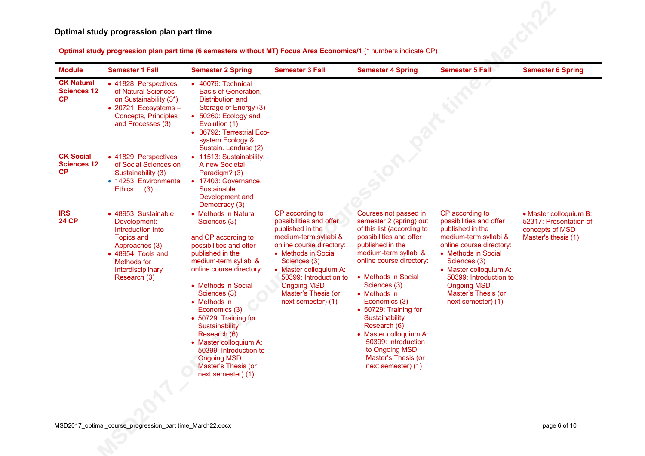|                                               | Optimal study progression plan part time                                                                                                                                   |                                                                                                                                                                                                                                                                                                                                                                                                                           |                                                                                                                                                                                                                                                                                   |                                                                                                                                                                                                                                                                                                                                                                                                                                       |                                                                                                                                                                                                                                                                                   |                                                                                            |  |  |  |  |
|-----------------------------------------------|----------------------------------------------------------------------------------------------------------------------------------------------------------------------------|---------------------------------------------------------------------------------------------------------------------------------------------------------------------------------------------------------------------------------------------------------------------------------------------------------------------------------------------------------------------------------------------------------------------------|-----------------------------------------------------------------------------------------------------------------------------------------------------------------------------------------------------------------------------------------------------------------------------------|---------------------------------------------------------------------------------------------------------------------------------------------------------------------------------------------------------------------------------------------------------------------------------------------------------------------------------------------------------------------------------------------------------------------------------------|-----------------------------------------------------------------------------------------------------------------------------------------------------------------------------------------------------------------------------------------------------------------------------------|--------------------------------------------------------------------------------------------|--|--|--|--|
|                                               | Optimal study progression plan part time (6 semesters without MT) Focus Area Economics/1 (* numbers indicate CP)                                                           |                                                                                                                                                                                                                                                                                                                                                                                                                           |                                                                                                                                                                                                                                                                                   |                                                                                                                                                                                                                                                                                                                                                                                                                                       |                                                                                                                                                                                                                                                                                   |                                                                                            |  |  |  |  |
| <b>Module</b>                                 | <b>Semester 1 Fall</b>                                                                                                                                                     | <b>Semester 2 Spring</b>                                                                                                                                                                                                                                                                                                                                                                                                  | <b>Semester 3 Fall</b>                                                                                                                                                                                                                                                            | <b>Semester 4 Spring</b>                                                                                                                                                                                                                                                                                                                                                                                                              | <b>Semester 5 Fall</b>                                                                                                                                                                                                                                                            | <b>Semester 6 Spring</b>                                                                   |  |  |  |  |
| <b>CK Natural</b><br><b>Sciences 12</b><br>CP | • 41828: Perspectives<br>of Natural Sciences<br>on Sustainability (3*)<br>$\bullet$ 20721: Ecosystems -<br><b>Concepts, Principles</b><br>and Processes (3)                | $\overline{\bullet}$ 40076: Technical<br><b>Basis of Generation,</b><br><b>Distribution and</b><br>Storage of Energy (3)<br>• 50260: Ecology and<br>Evolution (1)<br>• 36792: Terrestrial Eco-<br>system Ecology &<br>Sustain. Landuse (2)                                                                                                                                                                                |                                                                                                                                                                                                                                                                                   |                                                                                                                                                                                                                                                                                                                                                                                                                                       |                                                                                                                                                                                                                                                                                   |                                                                                            |  |  |  |  |
| <b>CK Social</b><br><b>Sciences 12</b><br>CP  | • 41829: Perspectives<br>of Social Sciences on<br>Sustainability (3)<br>• 14253: Environmental<br>Ethics $\dots$ (3)                                                       | • 11513: Sustainability:<br>A new Societal<br>Paradigm? (3)<br>• 17403: Governance,<br><b>Sustainable</b><br>Development and<br>Democracy (3)                                                                                                                                                                                                                                                                             |                                                                                                                                                                                                                                                                                   |                                                                                                                                                                                                                                                                                                                                                                                                                                       |                                                                                                                                                                                                                                                                                   |                                                                                            |  |  |  |  |
| <b>IRS</b><br><b>24 CP</b>                    | • 48953: Sustainable<br>Development:<br>Introduction into<br><b>Topics and</b><br>Approaches (3)<br>• 48954: Tools and<br>Methods for<br>Interdisciplinary<br>Research (3) | • Methods in Natural<br>Sciences (3)<br>and CP according to<br>possibilities and offer<br>published in the<br>medium-term syllabi &<br>online course directory:<br>• Methods in Social<br>Sciences (3)<br>• Methods in<br>Economics (3)<br>• 50729: Training for<br>Sustainability<br>Research (6)<br>• Master colloquium A:<br>50399: Introduction to<br><b>Ongoing MSD</b><br>Master's Thesis (or<br>next semester) (1) | CP according to<br>possibilities and offer<br>published in the<br>medium-term syllabi &<br>online course directory:<br>• Methods in Social<br>Sciences (3)<br>• Master colloquium A:<br>50399: Introduction to<br><b>Ongoing MSD</b><br>Master's Thesis (or<br>next semester) (1) | Courses not passed in<br>semester 2 (spring) out<br>of this list (according to<br>possibilities and offer<br>published in the<br>medium-term syllabi &<br>online course directory:<br>• Methods in Social<br>Sciences (3)<br>• Methods in<br>Economics (3)<br>• 50729: Training for<br>Sustainability<br>Research (6)<br>• Master colloquium A:<br>50399: Introduction<br>to Ongoing MSD<br>Master's Thesis (or<br>next semester) (1) | CP according to<br>possibilities and offer<br>published in the<br>medium-term syllabi &<br>online course directory:<br>• Methods in Social<br>Sciences (3)<br>• Master colloquium A:<br>50399: Introduction to<br><b>Ongoing MSD</b><br>Master's Thesis (or<br>next semester) (1) | • Master colloquium B:<br>52317: Presentation of<br>concepts of MSD<br>Master's thesis (1) |  |  |  |  |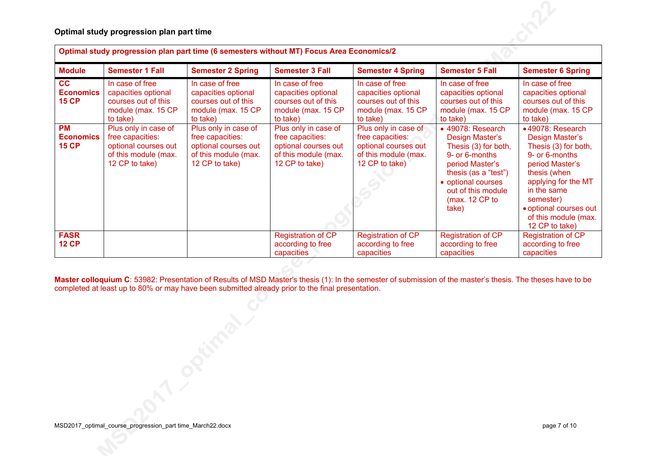|                                               | Optimal study progression plan part time (6 semesters without MT) Focus Area Economics/2                   |                                                                                                            |                                                                                                            |                                                                                                            |                                                                                                                                                                                                     |                                                                                                                                                                                                                                         |  |  |  |
|-----------------------------------------------|------------------------------------------------------------------------------------------------------------|------------------------------------------------------------------------------------------------------------|------------------------------------------------------------------------------------------------------------|------------------------------------------------------------------------------------------------------------|-----------------------------------------------------------------------------------------------------------------------------------------------------------------------------------------------------|-----------------------------------------------------------------------------------------------------------------------------------------------------------------------------------------------------------------------------------------|--|--|--|
| <b>Module</b>                                 | <b>Semester 1 Fall</b>                                                                                     | <b>Semester 2 Spring</b>                                                                                   | <b>Semester 3 Fall</b>                                                                                     | <b>Semester 4 Spring</b>                                                                                   | <b>Semester 5 Fall</b>                                                                                                                                                                              | <b>Semester 6 Spring</b>                                                                                                                                                                                                                |  |  |  |
| cc<br><b>Economics</b><br><b>15 CP</b>        | In case of free<br>capacities optional<br>courses out of this<br>module (max. 15 CP<br>to take)            | In case of free<br>capacities optional<br>courses out of this<br>module (max. 15 CP<br>to take)            | In case of free<br>capacities optional<br>courses out of this<br>module (max. 15 CP<br>to take)            | In case of free<br>capacities optional<br>courses out of this<br>module (max. 15 CP<br>to take)            | In case of free<br>capacities optional<br>courses out of this<br>module (max. 15 CP<br>to take)                                                                                                     | In case of free<br>capacities optional<br>courses out of this<br>module (max. 15 CP<br>to take)                                                                                                                                         |  |  |  |
| <b>PM</b><br><b>Economics</b><br><b>15 CP</b> | Plus only in case of<br>free capacities:<br>optional courses out<br>of this module (max.<br>12 CP to take) | Plus only in case of<br>free capacities:<br>optional courses out<br>of this module (max.<br>12 CP to take) | Plus only in case of<br>free capacities:<br>optional courses out<br>of this module (max.<br>12 CP to take) | Plus only in case of<br>free capacities:<br>optional courses out<br>of this module (max.<br>12 CP to take) | • 49078: Research<br>Design Master's<br>Thesis (3) for both,<br>9- or 6-months<br>period Master's<br>thesis (as a "test")<br>• optional courses<br>out of this module<br>( $max. 12$ CP to<br>take) | •49078: Research<br>Design Master's<br>Thesis (3) for both,<br>9- or 6-months<br>period Master's<br>thesis (when<br>applying for the MT<br>in the same<br>semester)<br>· optional courses out<br>of this module (max.<br>12 CP to take) |  |  |  |
| <b>FASR</b><br><b>12 CP</b>                   |                                                                                                            |                                                                                                            | <b>Registration of CP</b><br>according to free<br>capacities                                               | Registration of CP<br>according to free<br>capacities                                                      | <b>Registration of CP</b><br>according to free<br>capacities                                                                                                                                        | <b>Registration of CP</b><br>according to free<br>capacities                                                                                                                                                                            |  |  |  |
|                                               |                                                                                                            |                                                                                                            |                                                                                                            |                                                                                                            |                                                                                                                                                                                                     |                                                                                                                                                                                                                                         |  |  |  |

**Master colloquium C**: 53982: Presentation of Results of MSD Master's thesis (1): In the semester of submission of the master's thesis. The theses have to be completed at least up to 80% or may have been submitted already prior to the final presentation.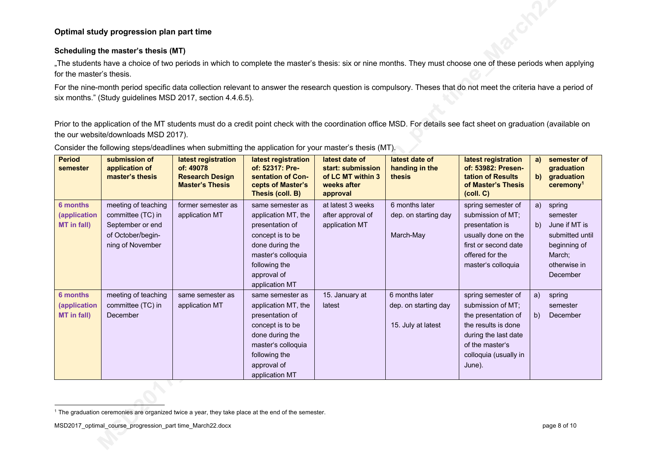### **Scheduling the master's thesis (MT)**

"The students have a choice of two periods in which to complete the master's thesis: six or nine months. They must choose one of these periods when applying for the master's thesis.

For the nine-month period specific data collection relevant to answer the research question is compulsory. Theses that do not meet the criteria have a period of six months." (Study guidelines MSD 2017, section 4.4.6.5).

Prior to the application of the MT students must do a credit point check with the coordination office MSD. For details see fact sheet on graduation (available on the our website/downloads MSD 2017).

| <b>Period</b><br>semester | submission of<br>application of<br>master's thesis | latest registration<br>of: 49078<br><b>Research Design</b><br><b>Master's Thesis</b> | latest registration<br>of: 52317: Pre-<br>sentation of Con-<br>cepts of Master's<br>Thesis (coll. B) | latest date of<br>start: submission<br>of LC MT within 3<br>weeks after<br>approval | latest date of<br>handing in the<br>thesis | latest registration<br>of: 53982: Presen-<br>tation of Results<br>of Master's Thesis<br>$\left(\text{coll. } C\right)$ | a)<br>b) | semester of<br>graduation<br>graduation<br>$c$ eremony <sup>1</sup> |
|---------------------------|----------------------------------------------------|--------------------------------------------------------------------------------------|------------------------------------------------------------------------------------------------------|-------------------------------------------------------------------------------------|--------------------------------------------|------------------------------------------------------------------------------------------------------------------------|----------|---------------------------------------------------------------------|
| <b>6 months</b>           | meeting of teaching                                | former semester as                                                                   | same semester as                                                                                     | at latest 3 weeks                                                                   | 6 months later                             | spring semester of                                                                                                     | a)       | spring                                                              |
| (application              | committee (TC) in                                  | application MT                                                                       | application MT, the                                                                                  | after approval of                                                                   | dep. on starting day                       | submission of MT;                                                                                                      |          | semester                                                            |
| MT in fall)               | September or end                                   |                                                                                      | presentation of                                                                                      | application MT                                                                      |                                            | presentation is                                                                                                        | b)       | June if MT is                                                       |
|                           | of October/begin-                                  |                                                                                      | concept is to be                                                                                     |                                                                                     | March-May                                  | usually done on the                                                                                                    |          | submitted until                                                     |
|                           | ning of November                                   |                                                                                      | done during the                                                                                      |                                                                                     |                                            | first or second date                                                                                                   |          | beginning of                                                        |
|                           |                                                    |                                                                                      | master's colloquia                                                                                   |                                                                                     |                                            | offered for the                                                                                                        |          | March;                                                              |
|                           |                                                    |                                                                                      | following the                                                                                        |                                                                                     |                                            | master's colloquia                                                                                                     |          | otherwise in                                                        |
|                           |                                                    |                                                                                      | approval of                                                                                          |                                                                                     |                                            |                                                                                                                        |          | December                                                            |
|                           |                                                    |                                                                                      | application MT                                                                                       |                                                                                     |                                            |                                                                                                                        |          |                                                                     |
| 6 months                  | meeting of teaching                                | same semester as                                                                     | same semester as                                                                                     | 15. January at                                                                      | 6 months later                             | spring semester of                                                                                                     | a)       | spring                                                              |
| (application              | committee (TC) in                                  | application MT                                                                       | application MT, the                                                                                  | latest                                                                              | dep. on starting day                       | submission of MT;                                                                                                      |          | semester                                                            |
| MT in fall)               | December                                           |                                                                                      | presentation of                                                                                      |                                                                                     |                                            | the presentation of                                                                                                    | b)       | December                                                            |
|                           |                                                    |                                                                                      | concept is to be                                                                                     |                                                                                     | 15. July at latest                         | the results is done                                                                                                    |          |                                                                     |
|                           |                                                    |                                                                                      | done during the                                                                                      |                                                                                     |                                            | during the last date                                                                                                   |          |                                                                     |
|                           |                                                    |                                                                                      | master's colloquia                                                                                   |                                                                                     |                                            | of the master's                                                                                                        |          |                                                                     |
|                           |                                                    |                                                                                      | following the                                                                                        |                                                                                     |                                            | colloquia (usually in                                                                                                  |          |                                                                     |
|                           |                                                    |                                                                                      | approval of                                                                                          |                                                                                     |                                            | June).                                                                                                                 |          |                                                                     |
|                           |                                                    |                                                                                      | application MT                                                                                       |                                                                                     |                                            |                                                                                                                        |          |                                                                     |

Consider the following steps/deadlines when submitting the application for your master's thesis (MT).

<sup>1</sup> The graduation ceremonies are organized twice a year, they take place at the end of the semester.

MSD2017\_optimal\_course\_progression\_part time\_March22.docx page 8 of 10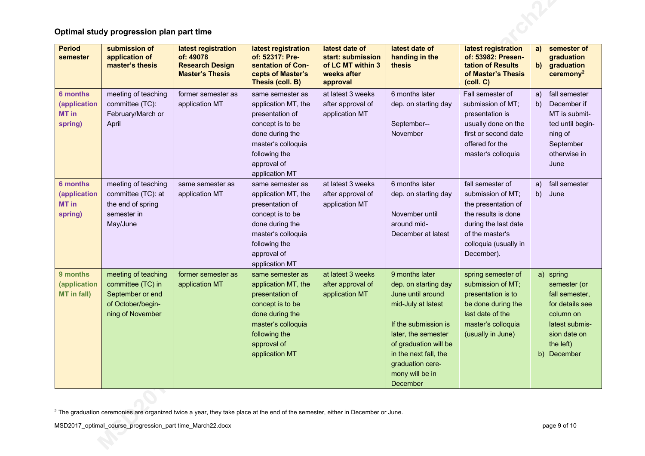| <b>Period</b><br>semester                           | submission of<br>application of<br>master's thesis                                                    | latest registration<br>of: 49078<br><b>Research Design</b><br><b>Master's Thesis</b> | latest registration<br>of: 52317: Pre-<br>sentation of Con-<br>cepts of Master's<br>Thesis (coll. B)                                                                      | latest date of<br>start: submission<br>of LC MT within 3<br>weeks after<br>approval | latest date of<br>handing in the<br>thesis                                                                                                                                                                                            | latest registration<br>of: 53982: Presen-<br>tation of Results<br>of Master's Thesis<br>(coll. C)                                                                     | a)<br>$\mathbf{b}$ | semester of<br>graduation<br>graduation<br>$c$ eremony <sup>2</sup>                                                                       |
|-----------------------------------------------------|-------------------------------------------------------------------------------------------------------|--------------------------------------------------------------------------------------|---------------------------------------------------------------------------------------------------------------------------------------------------------------------------|-------------------------------------------------------------------------------------|---------------------------------------------------------------------------------------------------------------------------------------------------------------------------------------------------------------------------------------|-----------------------------------------------------------------------------------------------------------------------------------------------------------------------|--------------------|-------------------------------------------------------------------------------------------------------------------------------------------|
| <b>6 months</b><br>(application<br>MT in<br>spring) | meeting of teaching<br>committee (TC):<br>February/March or<br>April                                  | former semester as<br>application MT                                                 | same semester as<br>application MT, the<br>presentation of<br>concept is to be<br>done during the<br>master's colloquia<br>following the<br>approval of<br>application MT | at latest 3 weeks<br>after approval of<br>application MT                            | 6 months later<br>dep. on starting day<br>September--<br>November                                                                                                                                                                     | Fall semester of<br>submission of MT;<br>presentation is<br>usually done on the<br>first or second date<br>offered for the<br>master's colloquia                      | a)<br>b)           | fall semester<br>December if<br>MT is submit-<br>ted until begin-<br>ning of<br>September<br>otherwise in<br>June                         |
| <b>6 months</b><br>(application<br>MT in<br>spring) | meeting of teaching<br>committee (TC): at<br>the end of spring<br>semester in<br>May/June             | same semester as<br>application MT                                                   | same semester as<br>application MT, the<br>presentation of<br>concept is to be<br>done during the<br>master's colloquia<br>following the<br>approval of<br>application MT | at latest 3 weeks<br>after approval of<br>application MT                            | 6 months later<br>dep. on starting day<br>November until<br>around mid-<br>December at latest                                                                                                                                         | fall semester of<br>submission of MT;<br>the presentation of<br>the results is done<br>during the last date<br>of the master's<br>colloquia (usually in<br>December). | a)<br>b)           | fall semester<br>June                                                                                                                     |
| 9 months<br>(application<br>MT in fall)             | meeting of teaching<br>committee (TC) in<br>September or end<br>of October/begin-<br>ning of November | former semester as<br>application MT                                                 | same semester as<br>application MT, the<br>presentation of<br>concept is to be<br>done during the<br>master's colloquia<br>following the<br>approval of<br>application MT | at latest 3 weeks<br>after approval of<br>application MT                            | 9 months later<br>dep. on starting day<br>June until around<br>mid-July at latest<br>If the submission is<br>later, the semester<br>of graduation will be<br>in the next fall, the<br>graduation cere-<br>mony will be in<br>December | spring semester of<br>submission of MT;<br>presentation is to<br>be done during the<br>last date of the<br>master's colloquia<br>(usually in June)                    |                    | a) spring<br>semester (or<br>fall semester,<br>for details see<br>column on<br>latest submis-<br>sion date on<br>the left)<br>b) December |

<sup>&</sup>lt;sup>2</sup> The graduation ceremonies are organized twice a year, they take place at the end of the semester, either in December or June.

MSD2017\_optimal\_course\_progression\_part time\_March22.docx page 9 of 10